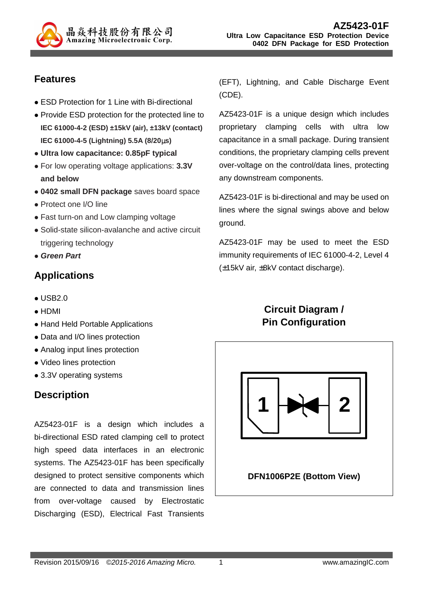

## **Features**

- ESD Protection for 1 Line with Bi-directional
- Provide ESD protection for the protected line to **IEC 61000-4-2 (ESD) ±15kV (air), ±13kV (contact) IEC 61000-4-5 (Lightning) 5.5A (8/20**µ**s)**
- **Ultra low capacitance: 0.85pF typical**
- For low operating voltage applications: **3.3V and below**
- **0402 small DFN package** saves board space
- Protect one I/O line
- Fast turn-on and Low clamping voltage
- Solid-state silicon-avalanche and active circuit triggering technology
- **Green Part**

## **Applications**

- $\bullet$  USB<sub>20</sub>
- HDMI
- Hand Held Portable Applications
- Data and I/O lines protection
- Analog input lines protection
- Video lines protection
- 3.3V operating systems

## **Description**

AZ5423-01F is a design which includes a bi-directional ESD rated clamping cell to protect high speed data interfaces in an electronic systems. The AZ5423-01F has been specifically designed to protect sensitive components which are connected to data and transmission lines from over-voltage caused by Electrostatic Discharging (ESD), Electrical Fast Transients

(EFT), Lightning, and Cable Discharge Event (CDE).

AZ5423-01F is a unique design which includes proprietary clamping cells with ultra low capacitance in a small package. During transient conditions, the proprietary clamping cells prevent over-voltage on the control/data lines, protecting any downstream components.

AZ5423-01F is bi-directional and may be used on lines where the signal swings above and below ground.

AZ5423-01F may be used to meet the ESD immunity requirements of IEC 61000-4-2, Level 4 (±15kV air, ±8kV contact discharge).

# **Circuit Diagram / Pin Configuration**

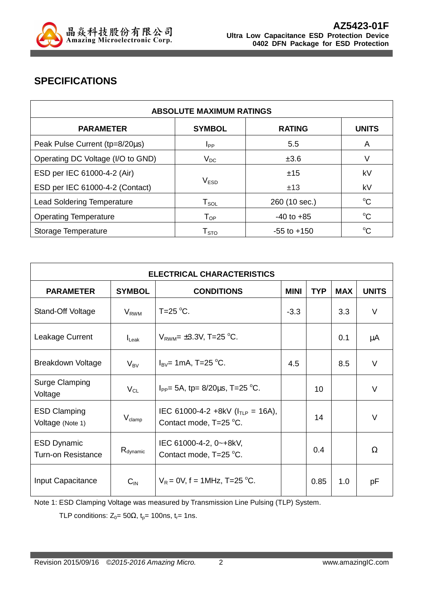

# **SPECIFICATIONS**

| <b>ABSOLUTE MAXIMUM RATINGS</b>   |                            |                 |              |
|-----------------------------------|----------------------------|-----------------|--------------|
| <b>PARAMETER</b>                  | <b>SYMBOL</b>              | <b>RATING</b>   | <b>UNITS</b> |
| Peak Pulse Current (tp=8/20µs)    | <b>I</b> pp                | 5.5             | A            |
| Operating DC Voltage (I/O to GND) | $V_{DC}$                   | ±3.6            | V            |
| ESD per IEC 61000-4-2 (Air)       |                            | ±15             | kV           |
| ESD per IEC 61000-4-2 (Contact)   | V <sub>ESD</sub>           | ±13             | kV           |
| <b>Lead Soldering Temperature</b> | ${\sf T}_{\sf SOL}$        | 260 (10 sec.)   | $^{\circ}C$  |
| <b>Operating Temperature</b>      | $\mathsf{T}_{\mathsf{OP}}$ | $-40$ to $+85$  | $^{\circ}C$  |
| Storage Temperature               | ${\sf T}_{\text{STO}}$     | $-55$ to $+150$ | $^{\circ}C$  |

| <b>ELECTRICAL CHARACTERISTICS</b>               |                      |                                                                  |             |            |            |              |
|-------------------------------------------------|----------------------|------------------------------------------------------------------|-------------|------------|------------|--------------|
| <b>PARAMETER</b>                                | <b>SYMBOL</b>        | <b>CONDITIONS</b>                                                | <b>MINI</b> | <b>TYP</b> | <b>MAX</b> | <b>UNITS</b> |
| Stand-Off Voltage                               | $V_{RWM}$            | T=25 $\mathrm{^{\circ}C}$ .                                      | $-3.3$      |            | 3.3        | V            |
| Leakage Current                                 | $I_{\text{L}eak}$    | $V_{\text{RWM}}$ = ±3.3V, T=25 °C.                               |             |            | 0.1        | μA           |
| <b>Breakdown Voltage</b>                        | $V_{BV}$             | $I_{\text{BV}}$ = 1mA, T=25 °C.                                  | 4.5         |            | 8.5        | $\vee$       |
| Surge Clamping<br>Voltage                       | $V_{CL}$             | $I_{PP}$ = 5A, tp = 8/20 $\mu$ s, T = 25 °C.                     |             | 10         |            | $\vee$       |
| <b>ESD Clamping</b><br>Voltage (Note 1)         | $V_{\text{clamp}}$   | IEC 61000-4-2 +8kV ( $I_{TLP}$ = 16A),<br>Contact mode, T=25 °C. |             | 14         |            | $\vee$       |
| <b>ESD Dynamic</b><br><b>Turn-on Resistance</b> | $R_{\text{dynamic}}$ | IEC 61000-4-2, 0~+8kV,<br>Contact mode, T=25 °C.                 |             | 0.4        |            | Ω            |
| Input Capacitance                               | $C_{IN}$             | $V_R = 0V$ , f = 1MHz, T=25 °C.                                  |             | 0.85       | 1.0        | рF           |

Note 1: ESD Clamping Voltage was measured by Transmission Line Pulsing (TLP) System.

TLP conditions:  $Z_0 = 50\Omega$ ,  $t_p = 100$ ns,  $t_r = 1$ ns.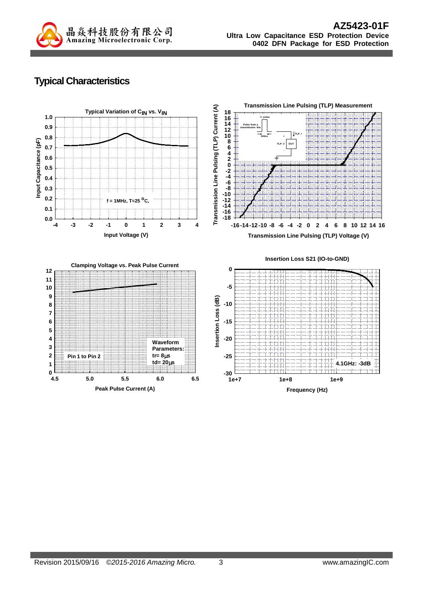

# **Typical Characteristics**

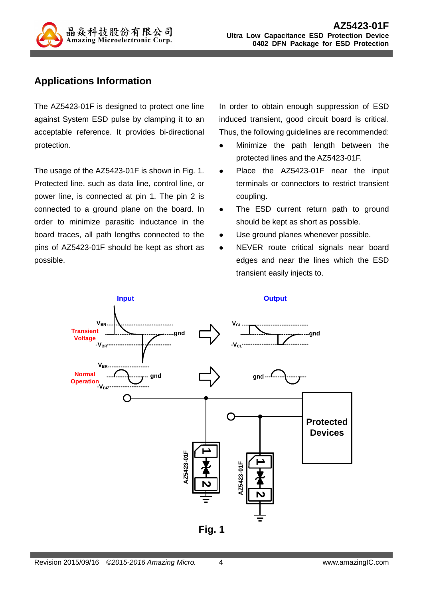

## **Applications Information**

The AZ5423-01F is designed to protect one line against System ESD pulse by clamping it to an acceptable reference. It provides bi-directional protection.

The usage of the AZ5423-01F is shown in Fig. 1. Protected line, such as data line, control line, or power line, is connected at pin 1. The pin 2 is connected to a ground plane on the board. In order to minimize parasitic inductance in the board traces, all path lengths connected to the pins of AZ5423-01F should be kept as short as possible.

In order to obtain enough suppression of ESD induced transient, good circuit board is critical. Thus, the following guidelines are recommended:

- Minimize the path length between the protected lines and the AZ5423-01F.
- Place the AZ5423-01F near the input terminals or connectors to restrict transient coupling.
- The ESD current return path to ground should be kept as short as possible.
- Use ground planes whenever possible.
- NEVER route critical signals near board edges and near the lines which the ESD transient easily injects to.

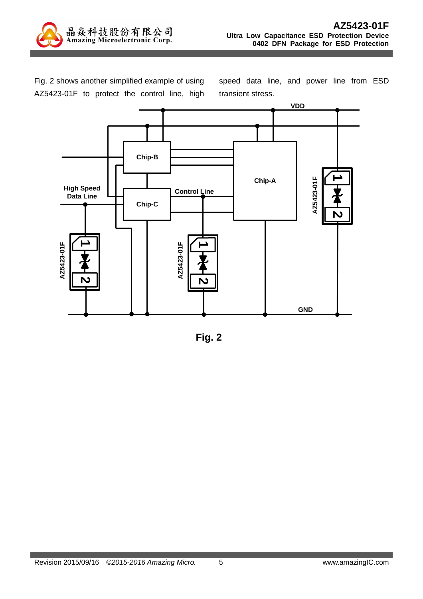

Fig. 2 shows another simplified example of using AZ5423-01F to protect the control line, high speed data line, and power line from ESD transient stress.



**Fig. 2**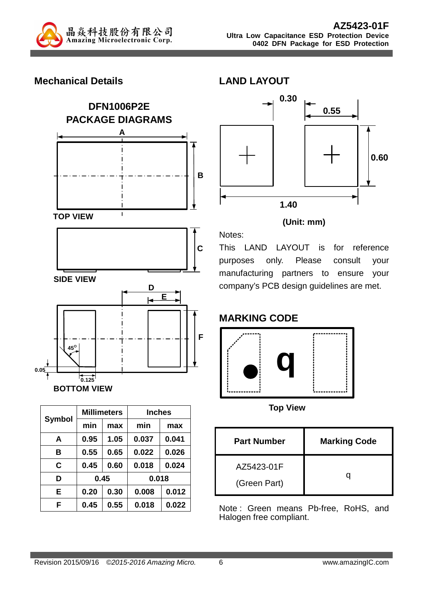

#### **Mechanical Details**



| <b>Symbol</b> |      | <b>Millimeters</b> | <b>Inches</b> |       |  |
|---------------|------|--------------------|---------------|-------|--|
|               | min  | max                | min           | max   |  |
| A             | 0.95 | 1.05               | 0.037         | 0.041 |  |
| в             | 0.55 | 0.65               | 0.022         | 0.026 |  |
| C             | 0.45 | 0.60               | 0.018         | 0.024 |  |
| D             | 0.45 |                    |               | 0.018 |  |
| E             | 0.20 | 0.30               | 0.008         | 0.012 |  |
| F             | 0.45 | 0.55               | 0.018         | 0.022 |  |



#### **(Unit: mm)**

Notes: This LAND LAYOUT is for reference purposes only. Please consult your manufacturing partners to ensure your company's PCB design guidelines are met.

## **MARKING CODE**

**LAND LAYOUT** 



**Top View** 

| <b>Part Number</b>         | <b>Marking Code</b> |
|----------------------------|---------------------|
| AZ5423-01F<br>(Green Part) |                     |

Note : Green means Pb-free, RoHS, and Halogen free compliant.